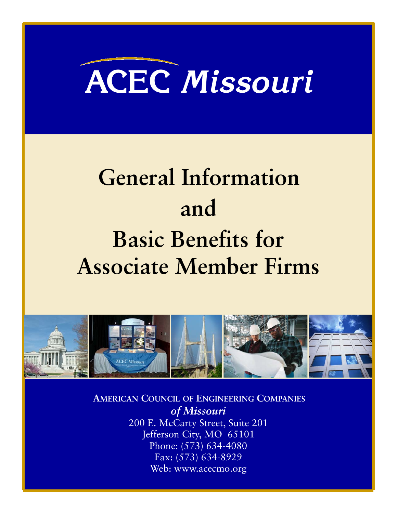# **ACEC** *Missouri*

# **General Information and Basic Benefits for Associate Member Firms**



**AMERICAN COUNCIL OF ENGINEERING COMPANIES** *of Missouri*  200 E. McCarty Street, Suite 201 Jefferson City, MO 65101 Phone: (573) 634-4080 Fax: (573) 634-8929 Web: www.acecmo.org